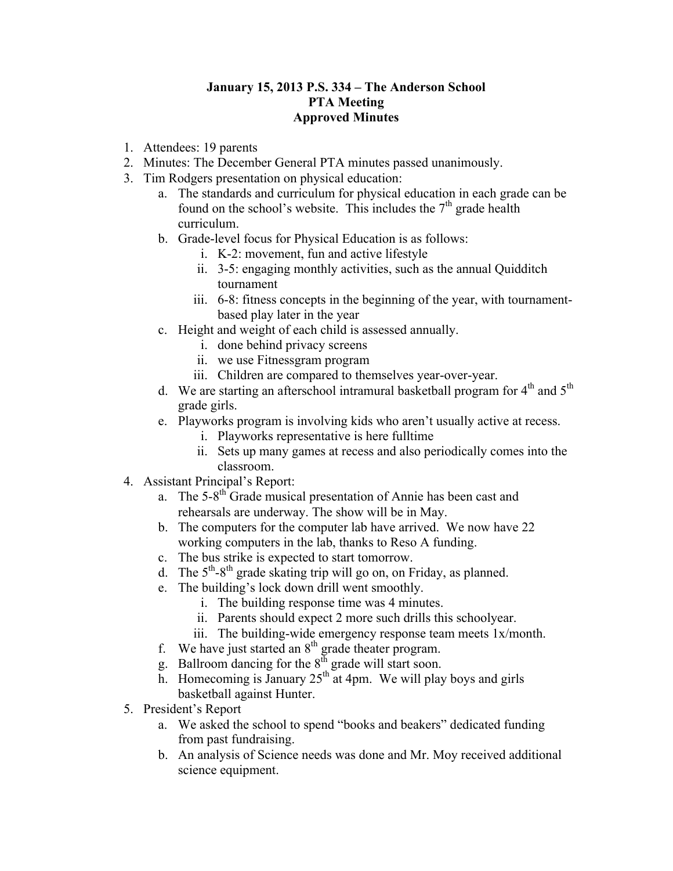## **January 15, 2013 P.S. 334 – The Anderson School PTA Meeting Approved Minutes**

- 1. Attendees: 19 parents
- 2. Minutes: The December General PTA minutes passed unanimously.
- 3. Tim Rodgers presentation on physical education:
	- a. The standards and curriculum for physical education in each grade can be found on the school's website. This includes the  $7<sup>th</sup>$  grade health curriculum.
	- b. Grade-level focus for Physical Education is as follows:
		- i. K-2: movement, fun and active lifestyle
		- ii. 3-5: engaging monthly activities, such as the annual Quidditch tournament
		- iii. 6-8: fitness concepts in the beginning of the year, with tournamentbased play later in the year
	- c. Height and weight of each child is assessed annually.
		- i. done behind privacy screens
		- ii. we use Fitnessgram program
		- iii. Children are compared to themselves year-over-year.
	- d. We are starting an afterschool intramural basketball program for  $4<sup>th</sup>$  and  $5<sup>th</sup>$ grade girls.
	- e. Playworks program is involving kids who aren't usually active at recess.
		- i. Playworks representative is here fulltime
		- ii. Sets up many games at recess and also periodically comes into the classroom.
- 4. Assistant Principal's Report:
	- a. The  $5-8<sup>th</sup>$  Grade musical presentation of Annie has been cast and rehearsals are underway. The show will be in May.
	- b. The computers for the computer lab have arrived. We now have 22 working computers in the lab, thanks to Reso A funding.
	- c. The bus strike is expected to start tomorrow.
	- d. The  $5<sup>th</sup>-8<sup>th</sup>$  grade skating trip will go on, on Friday, as planned.
	- e. The building's lock down drill went smoothly.
		- i. The building response time was 4 minutes.
		- ii. Parents should expect 2 more such drills this schoolyear.
		- iii. The building-wide emergency response team meets 1x/month.
	- f. We have just started an  $8<sup>th</sup>$  grade theater program.
	- g. Ballroom dancing for the  $8<sup>th</sup>$  grade will start soon.
	- h. Homecoming is January  $25<sup>th</sup>$  at 4pm. We will play boys and girls basketball against Hunter.
- 5. President's Report
	- a. We asked the school to spend "books and beakers" dedicated funding from past fundraising.
	- b. An analysis of Science needs was done and Mr. Moy received additional science equipment.